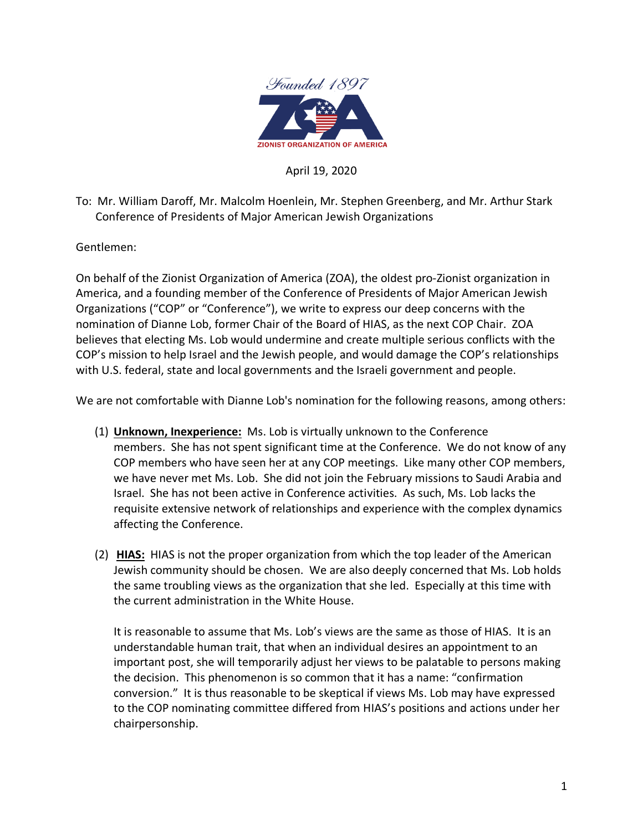

## April 19, 2020

To: Mr. William Daroff, Mr. Malcolm Hoenlein, Mr. Stephen Greenberg, and Mr. Arthur Stark Conference of Presidents of Major American Jewish Organizations

Gentlemen:

On behalf of the Zionist Organization of America (ZOA), the oldest pro-Zionist organization in America, and a founding member of the Conference of Presidents of Major American Jewish Organizations ("COP" or "Conference"), we write to express our deep concerns with the nomination of Dianne Lob, former Chair of the Board of HIAS, as the next COP Chair. ZOA believes that electing Ms. Lob would undermine and create multiple serious conflicts with the COP's mission to help Israel and the Jewish people, and would damage the COP's relationships with U.S. federal, state and local governments and the Israeli government and people.

We are not comfortable with Dianne Lob's nomination for the following reasons, among others:

- (1) **Unknown, Inexperience:** Ms. Lob is virtually unknown to the Conference members. She has not spent significant time at the Conference. We do not know of any COP members who have seen her at any COP meetings. Like many other COP members, we have never met Ms. Lob. She did not join the February missions to Saudi Arabia and Israel. She has not been active in Conference activities. As such, Ms. Lob lacks the requisite extensive network of relationships and experience with the complex dynamics affecting the Conference.
- (2) **HIAS:** HIAS is not the proper organization from which the top leader of the American Jewish community should be chosen. We are also deeply concerned that Ms. Lob holds the same troubling views as the organization that she led. Especially at this time with the current administration in the White House.

It is reasonable to assume that Ms. Lob's views are the same as those of HIAS. It is an understandable human trait, that when an individual desires an appointment to an important post, she will temporarily adjust her views to be palatable to persons making the decision. This phenomenon is so common that it has a name: "confirmation conversion." It is thus reasonable to be skeptical if views Ms. Lob may have expressed to the COP nominating committee differed from HIAS's positions and actions under her chairpersonship.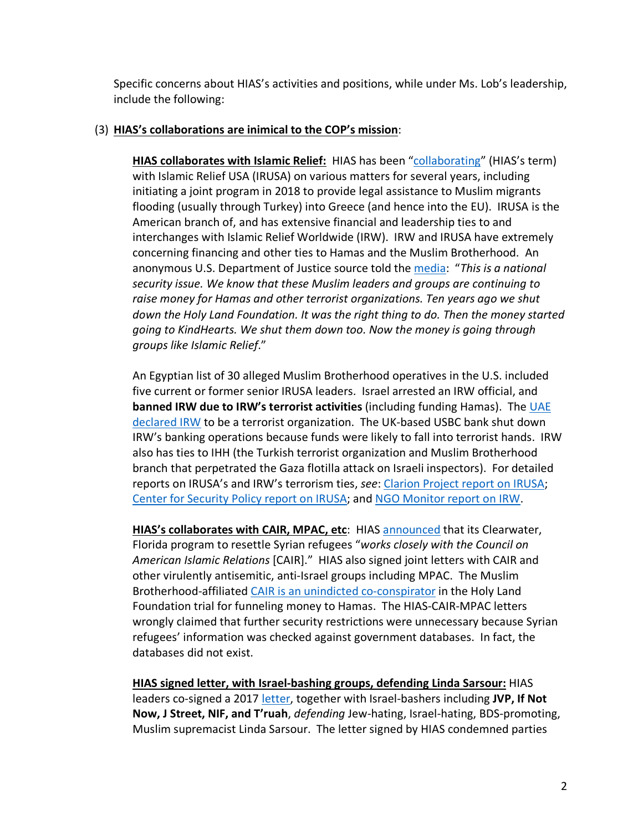Specific concerns about HIAS's activities and positions, while under Ms. Lob's leadership, include the following:

## (3) **HIAS's collaborations are inimical to the COP's mission**:

**HIAS collaborates with Islamic Relief:** HIAS has been "collaborating" (HIAS's term) with Islamic Relief USA (IRUSA) on various matters for several years, including initiating a joint program in 2018 to provide legal assistance to Muslim migrants flooding (usually through Turkey) into Greece (and hence into the EU). IRUSA is the American branch of, and has extensive financial and leadership ties to and interchanges with Islamic Relief Worldwide (IRW). IRW and IRUSA have extremely concerning financing and other ties to Hamas and the Muslim Brotherhood. An anonymous U.S. Department of Justice source told the media: "*This is a national security issue. We know that these Muslim leaders and groups are continuing to raise money for Hamas and other terrorist organizations. Ten years ago we shut down the Holy Land Foundation. It was the right thing to do. Then the money started going to KindHearts. We shut them down too. Now the money is going through groups like Islamic Relief*."

An Egyptian list of 30 alleged Muslim Brotherhood operatives in the U.S. included five current or former senior IRUSA leaders. Israel arrested an IRW official, and **banned IRW due to IRW's terrorist activities** (including funding Hamas). The UAE declared IRW to be a terrorist organization. The UK-based USBC bank shut down IRW's banking operations because funds were likely to fall into terrorist hands. IRW also has ties to IHH (the Turkish terrorist organization and Muslim Brotherhood branch that perpetrated the Gaza flotilla attack on Israeli inspectors). For detailed reports on IRUSA's and IRW's terrorism ties, *see*: Clarion Project report on IRUSA; Center for Security Policy report on IRUSA; and NGO Monitor report on IRW.

**HIAS's collaborates with CAIR, MPAC, etc**: HIAS announced that its Clearwater, Florida program to resettle Syrian refugees "*works closely with the Council on American Islamic Relations* [CAIR]." HIAS also signed joint letters with CAIR and other virulently antisemitic, anti-Israel groups including MPAC. The Muslim Brotherhood-affiliated CAIR is an unindicted co-conspirator in the Holy Land Foundation trial for funneling money to Hamas. The HIAS-CAIR-MPAC letters wrongly claimed that further security restrictions were unnecessary because Syrian refugees' information was checked against government databases. In fact, the databases did not exist.

**HIAS signed letter, with Israel-bashing groups, defending Linda Sarsour:** HIAS leaders co-signed a 2017 letter, together with Israel-bashers including **JVP, If Not Now, J Street, NIF, and T'ruah**, *defending* Jew-hating, Israel-hating, BDS-promoting, Muslim supremacist Linda Sarsour. The letter signed by HIAS condemned parties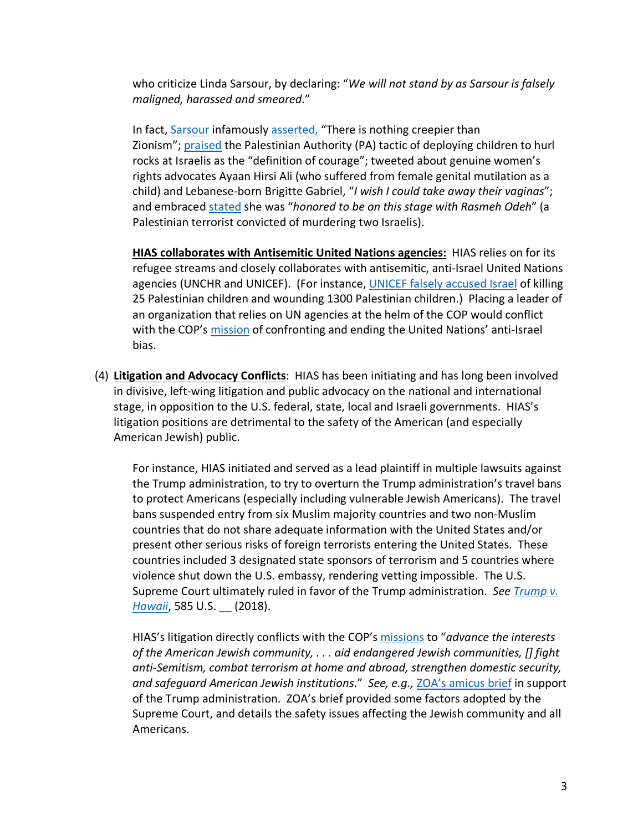who criticize Linda Sarsour, by declaring: "*We will not stand by as Sarsour is falsely maligned, harassed and smeared*."

In fact, Sarsour infamously asserted, "There is nothing creepier than Zionism"; praised the Palestinian Authority (PA) tactic of deploying children to hurl rocks at Israelis as the "definition of courage"; tweeted about genuine women's rights advocates Ayaan Hirsi Ali (who suffered from female genital mutilation as a child) and Lebanese-born Brigitte Gabriel, "*I wish I could take away their vaginas*"; and embraced stated she was "*honored to be on this stage with Rasmeh Odeh*" (a Palestinian terrorist convicted of murdering two Israelis).

**HIAS collaborates with Antisemitic United Nations agencies:** HIAS relies on for its refugee streams and closely collaborates with antisemitic, anti-Israel United Nations agencies (UNCHR and UNICEF). (For instance, UNICEF falsely accused Israel of killing 25 Palestinian children and wounding 1300 Palestinian children.) Placing a leader of an organization that relies on UN agencies at the helm of the COP would conflict with the COP's mission of confronting and ending the United Nations' anti-Israel bias.

(4) **Litigation and Advocacy Conflicts**: HIAS has been initiating and has long been involved in divisive, left-wing litigation and public advocacy on the national and international stage, in opposition to the U.S. federal, state, local and Israeli governments. HIAS's litigation positions are detrimental to the safety of the American (and especially American Jewish) public.

For instance, HIAS initiated and served as a lead plaintiff in multiple lawsuits against the Trump administration, to try to overturn the Trump administration's travel bans to protect Americans (especially including vulnerable Jewish Americans). The travel bans suspended entry from six Muslim majority countries and two non-Muslim countries that do not share adequate information with the United States and/or present other serious risks of foreign terrorists entering the United States. These countries included 3 designated state sponsors of terrorism and 5 countries where violence shut down the U.S. embassy, rendering vetting impossible. The U.S. Supreme Court ultimately ruled in favor of the Trump administration. *See Trump v. Hawaii*, 585 U.S. \_\_ (2018).

HIAS's litigation directly conflicts with the COP's missions to "*advance the interests of the American Jewish community, . . . aid endangered Jewish communities, [] fight anti-Semitism, combat terrorism at home and abroad, strengthen domestic security, and safeguard American Jewish institutions*." *See, e.g.,* ZOA's amicus brief in support of the Trump administration. ZOA's brief provided some factors adopted by the Supreme Court, and details the safety issues affecting the Jewish community and all Americans.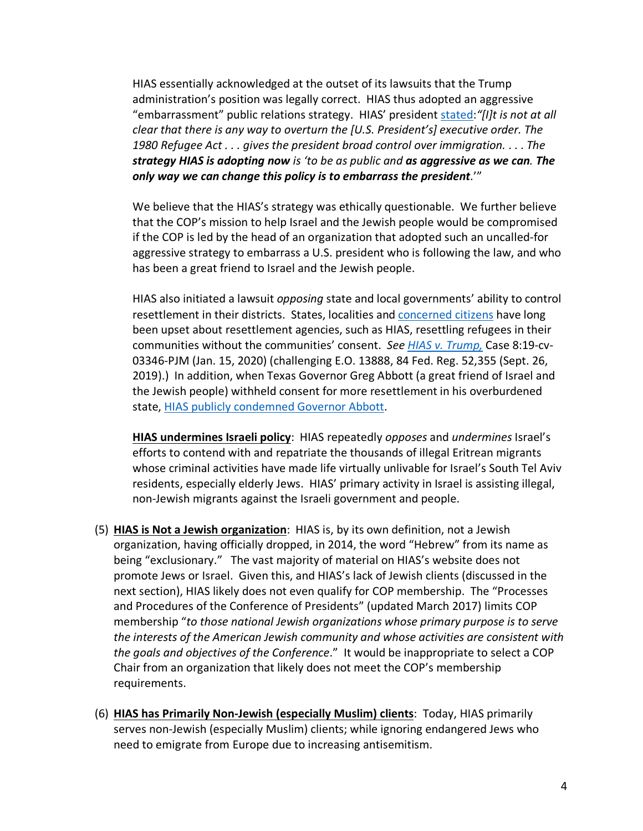HIAS essentially acknowledged at the outset of its lawsuits that the Trump administration's position was legally correct. HIAS thus adopted an aggressive "embarrassment" public relations strategy. HIAS' president stated:*"[I]t is not at all clear that there is any way to overturn the [U.S. President's] executive order. The 1980 Refugee Act . . . gives the president broad control over immigration.* . . . *The strategy HIAS is adopting now is 'to be as public and as aggressive as we can. The only way we can change this policy is to embarrass the president*.'"

We believe that the HIAS's strategy was ethically questionable. We further believe that the COP's mission to help Israel and the Jewish people would be compromised if the COP is led by the head of an organization that adopted such an uncalled-for aggressive strategy to embarrass a U.S. president who is following the law, and who has been a great friend to Israel and the Jewish people.

HIAS also initiated a lawsuit *opposing* state and local governments' ability to control resettlement in their districts. States, localities and concerned citizens have long been upset about resettlement agencies, such as HIAS, resettling refugees in their communities without the communities' consent. *See HIAS v. Trump,* Case 8:19-cv-03346-PJM (Jan. 15, 2020) (challenging E.O. 13888, 84 Fed. Reg. 52,355 (Sept. 26, 2019).) In addition, when Texas Governor Greg Abbott (a great friend of Israel and the Jewish people) withheld consent for more resettlement in his overburdened state, HIAS publicly condemned Governor Abbott.

**HIAS undermines Israeli policy**: HIAS repeatedly *opposes* and *undermines* Israel's efforts to contend with and repatriate the thousands of illegal Eritrean migrants whose criminal activities have made life virtually unlivable for Israel's South Tel Aviv residents, especially elderly Jews. HIAS' primary activity in Israel is assisting illegal, non-Jewish migrants against the Israeli government and people.

- (5) **HIAS is Not a Jewish organization**: HIAS is, by its own definition, not a Jewish organization, having officially dropped, in 2014, the word "Hebrew" from its name as being "exclusionary." The vast majority of material on HIAS's website does not promote Jews or Israel. Given this, and HIAS's lack of Jewish clients (discussed in the next section), HIAS likely does not even qualify for COP membership. The "Processes and Procedures of the Conference of Presidents" (updated March 2017) limits COP membership "*to those national Jewish organizations whose primary purpose is to serve the interests of the American Jewish community and whose activities are consistent with the goals and objectives of the Conference*." It would be inappropriate to select a COP Chair from an organization that likely does not meet the COP's membership requirements.
- (6) **HIAS has Primarily Non-Jewish (especially Muslim) clients**: Today, HIAS primarily serves non-Jewish (especially Muslim) clients; while ignoring endangered Jews who need to emigrate from Europe due to increasing antisemitism.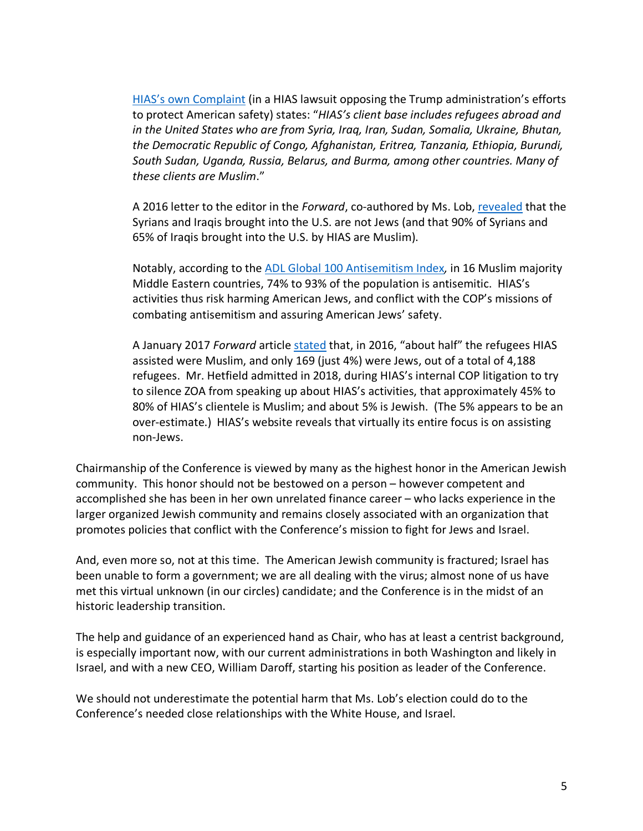HIAS's own Complaint (in a HIAS lawsuit opposing the Trump administration's efforts to protect American safety) states: "*HIAS's client base includes refugees abroad and in the United States who are from Syria, Iraq, Iran, Sudan, Somalia, Ukraine, Bhutan, the Democratic Republic of Congo, Afghanistan, Eritrea, Tanzania, Ethiopia, Burundi, South Sudan, Uganda, Russia, Belarus, and Burma, among other countries. Many of these clients are Muslim*."

A 2016 letter to the editor in the *Forward*, co-authored by Ms. Lob, revealed that the Syrians and Iraqis brought into the U.S. are not Jews (and that 90% of Syrians and 65% of Iraqis brought into the U.S. by HIAS are Muslim).

Notably, according to the ADL Global 100 Antisemitism Index*,* in 16 Muslim majority Middle Eastern countries, 74% to 93% of the population is antisemitic. HIAS's activities thus risk harming American Jews, and conflict with the COP's missions of combating antisemitism and assuring American Jews' safety.

A January 2017 *Forward* article stated that, in 2016, "about half" the refugees HIAS assisted were Muslim, and only 169 (just 4%) were Jews, out of a total of 4,188 refugees. Mr. Hetfield admitted in 2018, during HIAS's internal COP litigation to try to silence ZOA from speaking up about HIAS's activities, that approximately 45% to 80% of HIAS's clientele is Muslim; and about 5% is Jewish. (The 5% appears to be an over-estimate.) HIAS's website reveals that virtually its entire focus is on assisting non-Jews.

Chairmanship of the Conference is viewed by many as the highest honor in the American Jewish community. This honor should not be bestowed on a person – however competent and accomplished she has been in her own unrelated finance career – who lacks experience in the larger organized Jewish community and remains closely associated with an organization that promotes policies that conflict with the Conference's mission to fight for Jews and Israel.

And, even more so, not at this time. The American Jewish community is fractured; Israel has been unable to form a government; we are all dealing with the virus; almost none of us have met this virtual unknown (in our circles) candidate; and the Conference is in the midst of an historic leadership transition.

The help and guidance of an experienced hand as Chair, who has at least a centrist background, is especially important now, with our current administrations in both Washington and likely in Israel, and with a new CEO, William Daroff, starting his position as leader of the Conference.

We should not underestimate the potential harm that Ms. Lob's election could do to the Conference's needed close relationships with the White House, and Israel.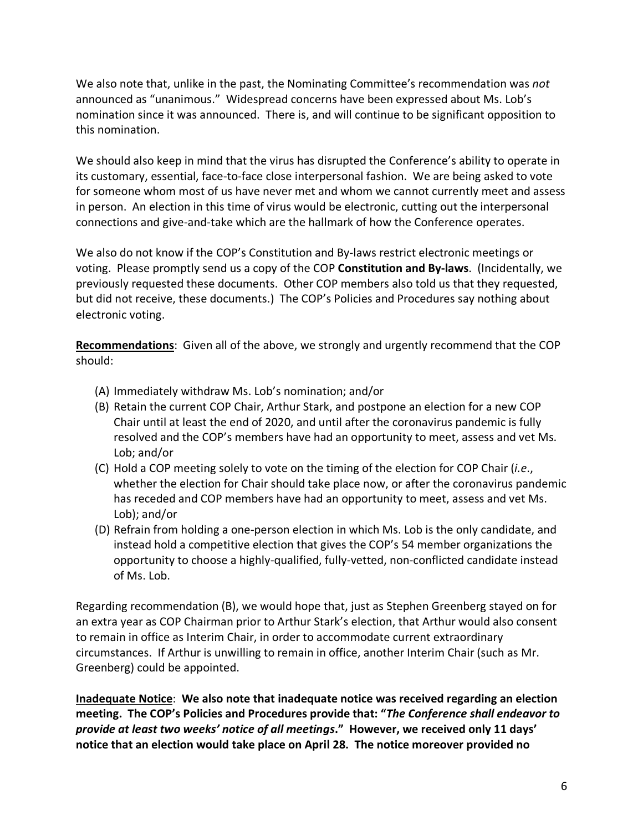We also note that, unlike in the past, the Nominating Committee's recommendation was *not* announced as "unanimous." Widespread concerns have been expressed about Ms. Lob's nomination since it was announced. There is, and will continue to be significant opposition to this nomination.

We should also keep in mind that the virus has disrupted the Conference's ability to operate in its customary, essential, face-to-face close interpersonal fashion. We are being asked to vote for someone whom most of us have never met and whom we cannot currently meet and assess in person. An election in this time of virus would be electronic, cutting out the interpersonal connections and give-and-take which are the hallmark of how the Conference operates.

We also do not know if the COP's Constitution and By-laws restrict electronic meetings or voting. Please promptly send us a copy of the COP **Constitution and By-laws**. (Incidentally, we previously requested these documents. Other COP members also told us that they requested, but did not receive, these documents.) The COP's Policies and Procedures say nothing about electronic voting.

**Recommendations**: Given all of the above, we strongly and urgently recommend that the COP should:

- (A) Immediately withdraw Ms. Lob's nomination; and/or
- (B) Retain the current COP Chair, Arthur Stark, and postpone an election for a new COP Chair until at least the end of 2020, and until after the coronavirus pandemic is fully resolved and the COP's members have had an opportunity to meet, assess and vet Ms. Lob; and/or
- (C) Hold a COP meeting solely to vote on the timing of the election for COP Chair (*i.e*., whether the election for Chair should take place now, or after the coronavirus pandemic has receded and COP members have had an opportunity to meet, assess and vet Ms. Lob); and/or
- (D) Refrain from holding a one-person election in which Ms. Lob is the only candidate, and instead hold a competitive election that gives the COP's 54 member organizations the opportunity to choose a highly-qualified, fully-vetted, non-conflicted candidate instead of Ms. Lob.

Regarding recommendation (B), we would hope that, just as Stephen Greenberg stayed on for an extra year as COP Chairman prior to Arthur Stark's election, that Arthur would also consent to remain in office as Interim Chair, in order to accommodate current extraordinary circumstances. If Arthur is unwilling to remain in office, another Interim Chair (such as Mr. Greenberg) could be appointed.

**Inadequate Notice**: **We also note that inadequate notice was received regarding an election meeting. The COP's Policies and Procedures provide that: "***The Conference shall endeavor to provide at least two weeks' notice of all meetings***." However, we received only 11 days' notice that an election would take place on April 28. The notice moreover provided no**